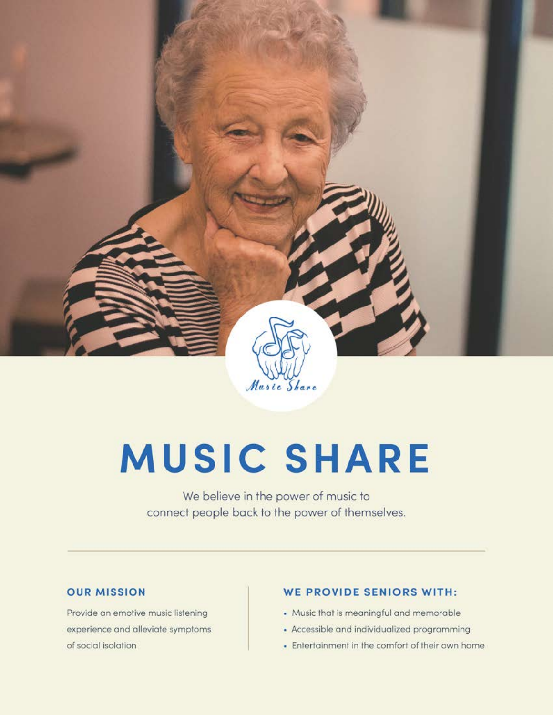

# **MUSIC SHARE**

We believe in the power of music to connect people back to the power of themselves.

#### **OUR MISSION**

Provide an emotive music listening experience and alleviate symptoms of social isolation

#### **WE PROVIDE SENIORS WITH:**

- Music that is meaningful and memorable
- Accessible and individualized programming
- Entertainment in the comfort of their own home